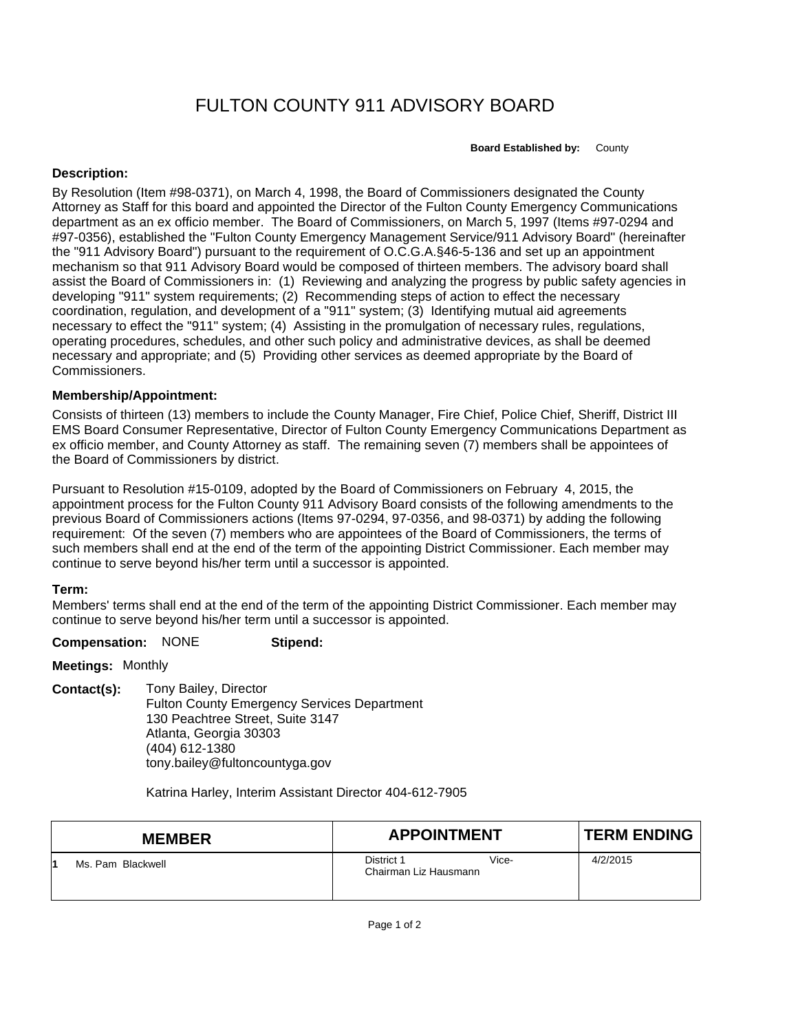# FULTON COUNTY 911 ADVISORY BOARD

**Board Established by:** County

## **Description:**

By Resolution (Item #98-0371), on March 4, 1998, the Board of Commissioners designated the County Attorney as Staff for this board and appointed the Director of the Fulton County Emergency Communications department as an ex officio member. The Board of Commissioners, on March 5, 1997 (Items #97-0294 and #97-0356), established the "Fulton County Emergency Management Service/911 Advisory Board" (hereinafter the "911 Advisory Board") pursuant to the requirement of O.C.G.A.§46-5-136 and set up an appointment mechanism so that 911 Advisory Board would be composed of thirteen members. The advisory board shall assist the Board of Commissioners in: (1) Reviewing and analyzing the progress by public safety agencies in developing "911" system requirements; (2) Recommending steps of action to effect the necessary coordination, regulation, and development of a "911" system; (3) Identifying mutual aid agreements necessary to effect the "911" system; (4) Assisting in the promulgation of necessary rules, regulations, operating procedures, schedules, and other such policy and administrative devices, as shall be deemed necessary and appropriate; and (5) Providing other services as deemed appropriate by the Board of Commissioners.

### **Membership/Appointment:**

Consists of thirteen (13) members to include the County Manager, Fire Chief, Police Chief, Sheriff, District III EMS Board Consumer Representative, Director of Fulton County Emergency Communications Department as ex officio member, and County Attorney as staff. The remaining seven (7) members shall be appointees of the Board of Commissioners by district.

Pursuant to Resolution #15-0109, adopted by the Board of Commissioners on February 4, 2015, the appointment process for the Fulton County 911 Advisory Board consists of the following amendments to the previous Board of Commissioners actions (Items 97-0294, 97-0356, and 98-0371) by adding the following requirement: Of the seven (7) members who are appointees of the Board of Commissioners, the terms of such members shall end at the end of the term of the appointing District Commissioner. Each member may continue to serve beyond his/her term until a successor is appointed.

# **Term:**

Members' terms shall end at the end of the term of the appointing District Commissioner. Each member may continue to serve beyond his/her term until a successor is appointed.

#### **Compensation:** NONE **Stipend:**

**Meetings:** Monthly

**Contact(s):** Tony Bailey, Director Fulton County Emergency Services Department 130 Peachtree Street, Suite 3147 Atlanta, Georgia 30303 (404) 612-1380 tony.bailey@fultoncountyga.gov

Katrina Harley, Interim Assistant Director 404-612-7905

| <b>MEMBER</b>     | <b>APPOINTMENT</b>                           | <b>TERM ENDING</b> |
|-------------------|----------------------------------------------|--------------------|
| Ms. Pam Blackwell | District 1<br>Vice-<br>Chairman Liz Hausmann | 4/2/2015           |